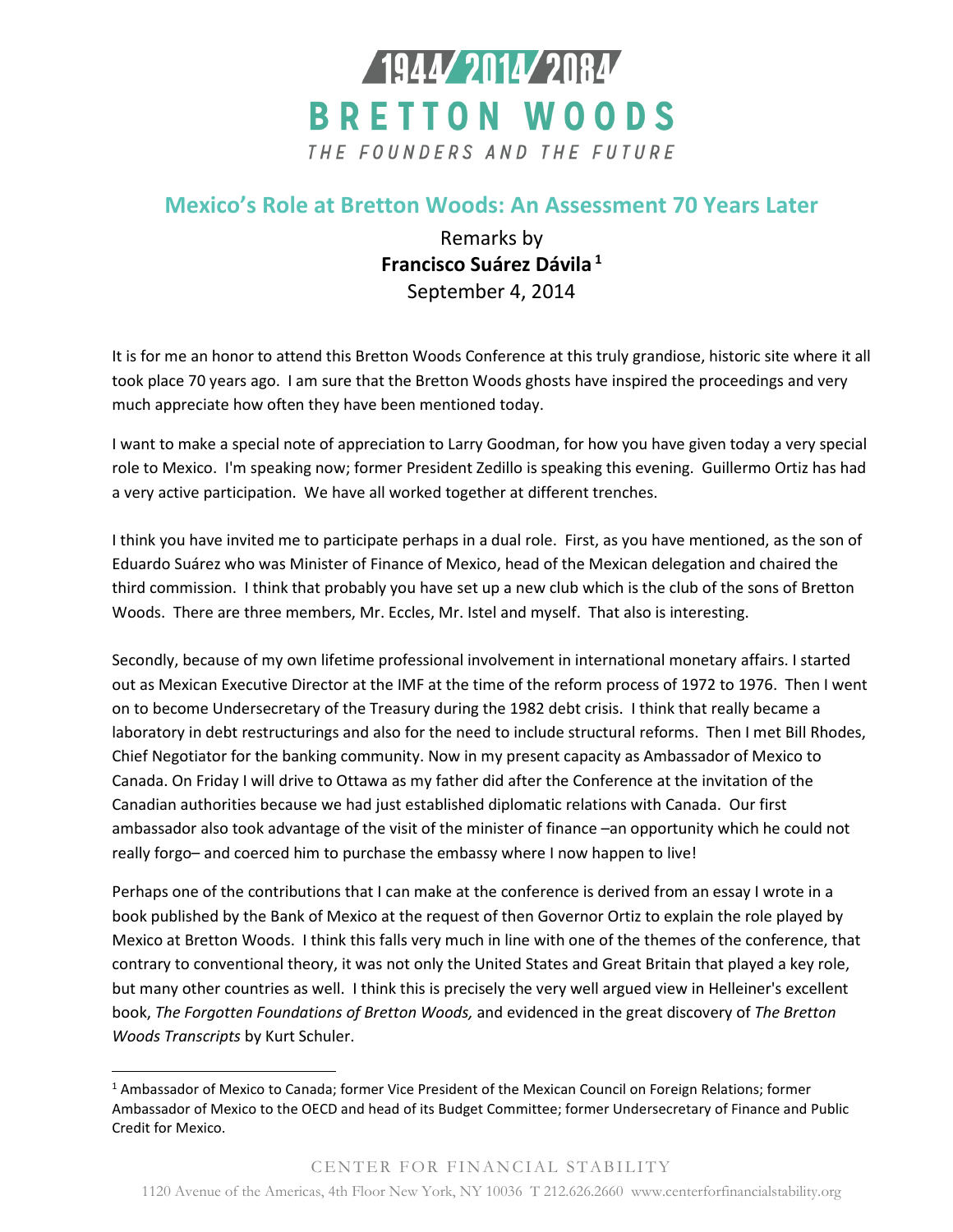

## **Mexico's Role at Bretton Woods: An Assessment 70 Years Later**

Remarks by **Francisco Suárez Dávila<sup>1</sup>** September 4, 2014

It is for me an honor to attend this Bretton Woods Conference at this truly grandiose, historic site where it all took place 70 years ago. I am sure that the Bretton Woods ghosts have inspired the proceedings and very much appreciate how often they have been mentioned today.

I want to make a special note of appreciation to Larry Goodman, for how you have given today a very special role to Mexico. I'm speaking now; former President Zedillo is speaking this evening. Guillermo Ortiz has had a very active participation. We have all worked together at different trenches.

I think you have invited me to participate perhaps in a dual role. First, as you have mentioned, as the son of Eduardo Suárez who was Minister of Finance of Mexico, head of the Mexican delegation and chaired the third commission. I think that probably you have set up a new club which is the club of the sons of Bretton Woods. There are three members, Mr. Eccles, Mr. Istel and myself. That also is interesting.

Secondly, because of my own lifetime professional involvement in international monetary affairs. I started out as Mexican Executive Director at the IMF at the time of the reform process of 1972 to 1976. Then I went on to become Undersecretary of the Treasury during the 1982 debt crisis. I think that really became a laboratory in debt restructurings and also for the need to include structural reforms. Then I met Bill Rhodes, Chief Negotiator for the banking community. Now in my present capacity as Ambassador of Mexico to Canada. On Friday I will drive to Ottawa as my father did after the Conference at the invitation of the Canadian authorities because we had just established diplomatic relations with Canada. Our first ambassador also took advantage of the visit of the minister of finance –an opportunity which he could not really forgo– and coerced him to purchase the embassy where I now happen to live!

Perhaps one of the contributions that I can make at the conference is derived from an essay I wrote in a book published by the Bank of Mexico at the request of then Governor Ortiz to explain the role played by Mexico at Bretton Woods. I think this falls very much in line with one of the themes of the conference, that contrary to conventional theory, it was not only the United States and Great Britain that played a key role, but many other countries as well. I think this is precisely the very well argued view in Helleiner's excellent book, *The Forgotten Foundations of Bretton Woods,* and evidenced in the great discovery of *The Bretton Woods Transcripts* by Kurt Schuler.

l

<sup>&</sup>lt;sup>1</sup> Ambassador of Mexico to Canada; former Vice President of the Mexican Council on Foreign Relations; former Ambassador of Mexico to the OECD and head of its Budget Committee; former Undersecretary of Finance and Public Credit for Mexico.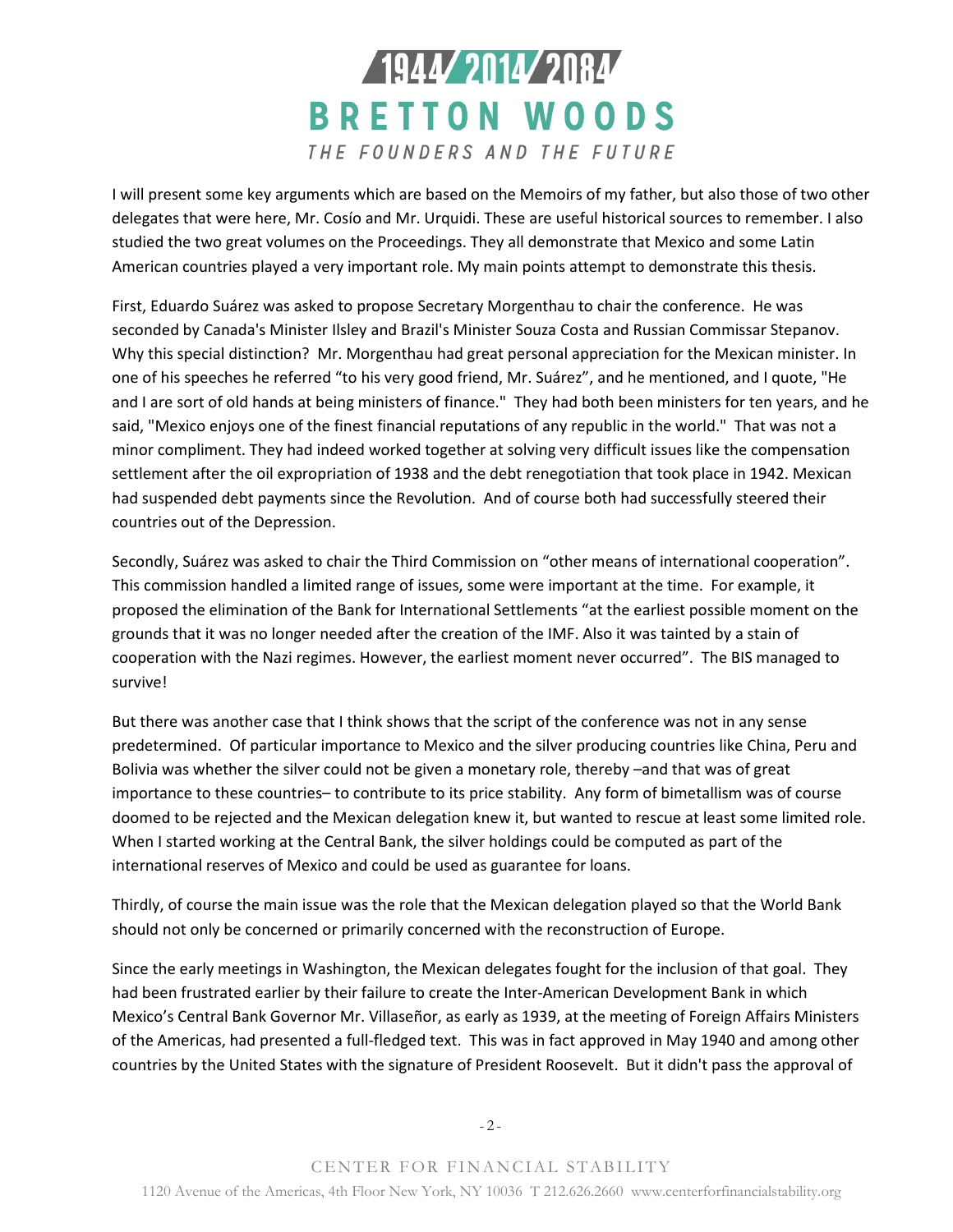## 1944 2014 2084 **BRETTON WOODS** THE FOUNDERS AND THE FUTURE

I will present some key arguments which are based on the Memoirs of my father, but also those of two other delegates that were here, Mr. Cosío and Mr. Urquidi. These are useful historical sources to remember. I also studied the two great volumes on the Proceedings. They all demonstrate that Mexico and some Latin American countries played a very important role. My main points attempt to demonstrate this thesis.

First, Eduardo Suárez was asked to propose Secretary Morgenthau to chair the conference. He was seconded by Canada's Minister Ilsley and Brazil's Minister Souza Costa and Russian Commissar Stepanov. Why this special distinction? Mr. Morgenthau had great personal appreciation for the Mexican minister. In one of his speeches he referred "to his very good friend, Mr. Suárez", and he mentioned, and I quote, "He and I are sort of old hands at being ministers of finance." They had both been ministers for ten years, and he said, "Mexico enjoys one of the finest financial reputations of any republic in the world." That was not a minor compliment. They had indeed worked together at solving very difficult issues like the compensation settlement after the oil expropriation of 1938 and the debt renegotiation that took place in 1942. Mexican had suspended debt payments since the Revolution. And of course both had successfully steered their countries out of the Depression.

Secondly, Suárez was asked to chair the Third Commission on "other means of international cooperation". This commission handled a limited range of issues, some were important at the time. For example, it proposed the elimination of the Bank for International Settlements "at the earliest possible moment on the grounds that it was no longer needed after the creation of the IMF. Also it was tainted by a stain of cooperation with the Nazi regimes. However, the earliest moment never occurred". The BIS managed to survive!

But there was another case that I think shows that the script of the conference was not in any sense predetermined. Of particular importance to Mexico and the silver producing countries like China, Peru and Bolivia was whether the silver could not be given a monetary role, thereby –and that was of great importance to these countries– to contribute to its price stability. Any form of bimetallism was of course doomed to be rejected and the Mexican delegation knew it, but wanted to rescue at least some limited role. When I started working at the Central Bank, the silver holdings could be computed as part of the international reserves of Mexico and could be used as guarantee for loans.

Thirdly, of course the main issue was the role that the Mexican delegation played so that the World Bank should not only be concerned or primarily concerned with the reconstruction of Europe.

Since the early meetings in Washington, the Mexican delegates fought for the inclusion of that goal. They had been frustrated earlier by their failure to create the Inter-American Development Bank in which Mexico's Central Bank Governor Mr. Villaseñor, as early as 1939, at the meeting of Foreign Affairs Ministers of the Americas, had presented a full-fledged text. This was in fact approved in May 1940 and among other countries by the United States with the signature of President Roosevelt. But it didn't pass the approval of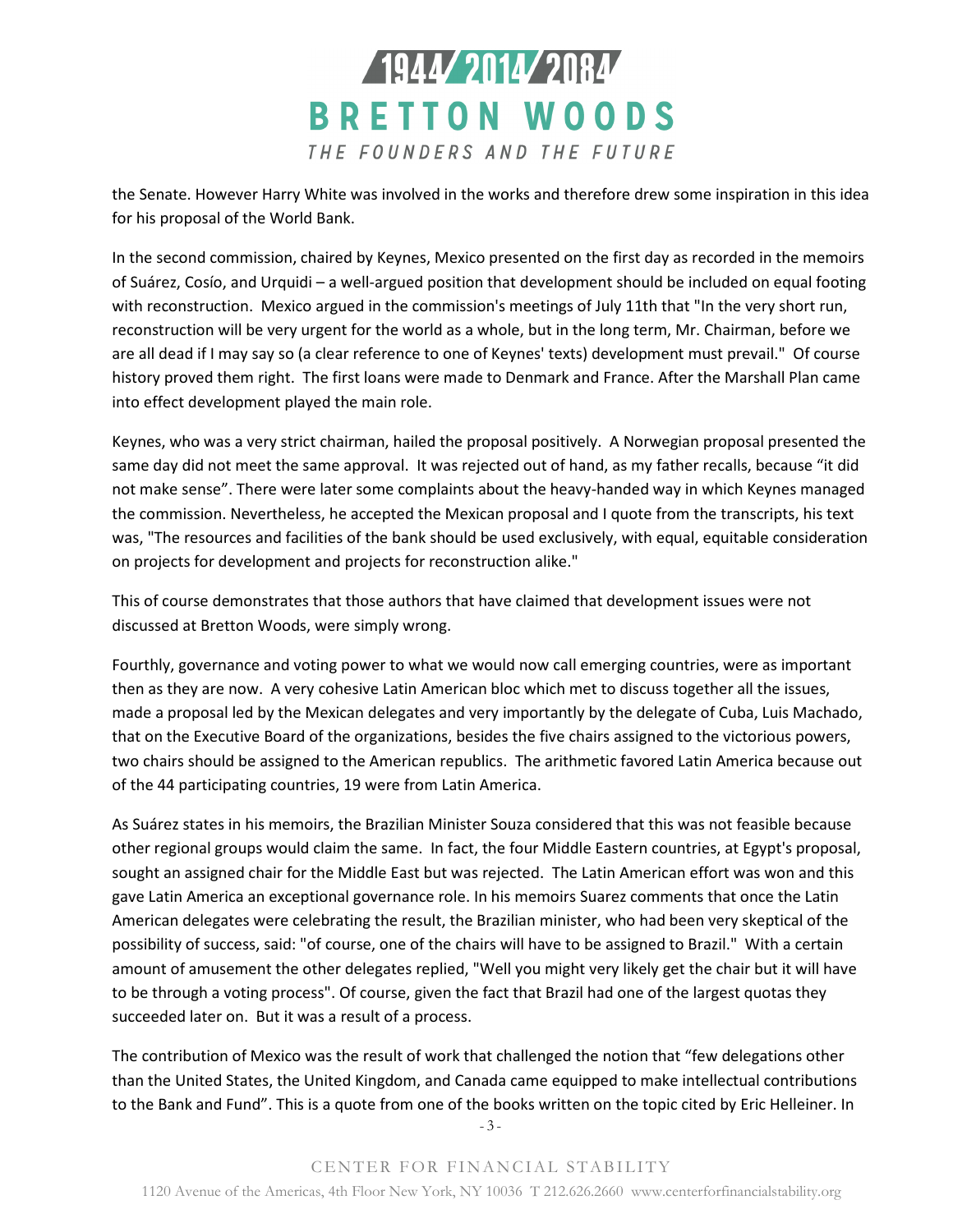

the Senate. However Harry White was involved in the works and therefore drew some inspiration in this idea for his proposal of the World Bank.

In the second commission, chaired by Keynes, Mexico presented on the first day as recorded in the memoirs of Suárez, Cosío, and Urquidi – a well-argued position that development should be included on equal footing with reconstruction. Mexico argued in the commission's meetings of July 11th that "In the very short run, reconstruction will be very urgent for the world as a whole, but in the long term, Mr. Chairman, before we are all dead if I may say so (a clear reference to one of Keynes' texts) development must prevail." Of course history proved them right. The first loans were made to Denmark and France. After the Marshall Plan came into effect development played the main role.

Keynes, who was a very strict chairman, hailed the proposal positively. A Norwegian proposal presented the same day did not meet the same approval. It was rejected out of hand, as my father recalls, because "it did not make sense". There were later some complaints about the heavy-handed way in which Keynes managed the commission. Nevertheless, he accepted the Mexican proposal and I quote from the transcripts, his text was, "The resources and facilities of the bank should be used exclusively, with equal, equitable consideration on projects for development and projects for reconstruction alike."

This of course demonstrates that those authors that have claimed that development issues were not discussed at Bretton Woods, were simply wrong.

Fourthly, governance and voting power to what we would now call emerging countries, were as important then as they are now. A very cohesive Latin American bloc which met to discuss together all the issues, made a proposal led by the Mexican delegates and very importantly by the delegate of Cuba, Luis Machado, that on the Executive Board of the organizations, besides the five chairs assigned to the victorious powers, two chairs should be assigned to the American republics. The arithmetic favored Latin America because out of the 44 participating countries, 19 were from Latin America.

As Suárez states in his memoirs, the Brazilian Minister Souza considered that this was not feasible because other regional groups would claim the same. In fact, the four Middle Eastern countries, at Egypt's proposal, sought an assigned chair for the Middle East but was rejected. The Latin American effort was won and this gave Latin America an exceptional governance role. In his memoirs Suarez comments that once the Latin American delegates were celebrating the result, the Brazilian minister, who had been very skeptical of the possibility of success, said: "of course, one of the chairs will have to be assigned to Brazil." With a certain amount of amusement the other delegates replied, "Well you might very likely get the chair but it will have to be through a voting process". Of course, given the fact that Brazil had one of the largest quotas they succeeded later on. But it was a result of a process.

The contribution of Mexico was the result of work that challenged the notion that "few delegations other than the United States, the United Kingdom, and Canada came equipped to make intellectual contributions to the Bank and Fund". This is a quote from one of the books written on the topic cited by Eric Helleiner. In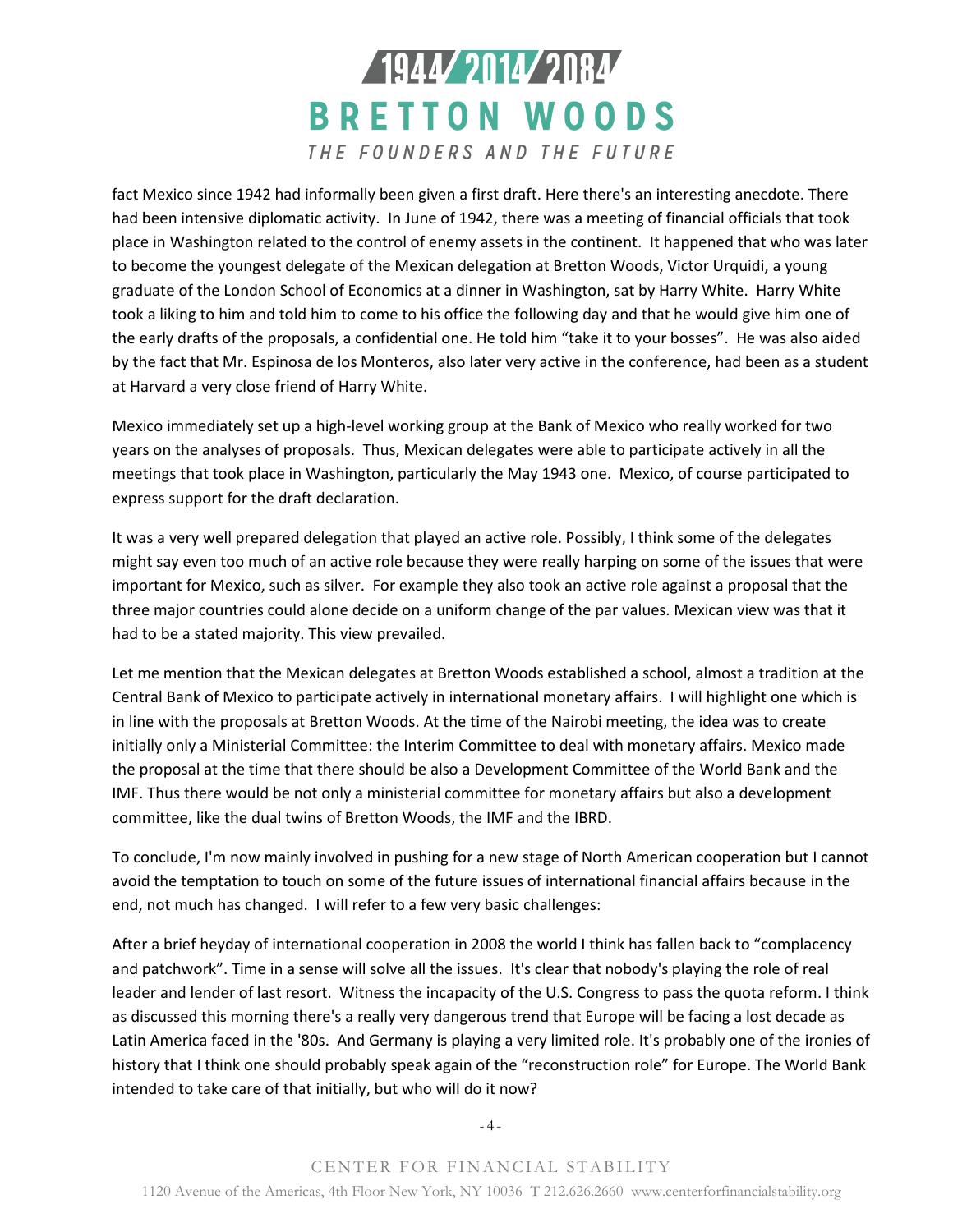## 1944 2014 2084 **BRETTON WOODS** THE FOUNDERS AND THE FUTURE

fact Mexico since 1942 had informally been given a first draft. Here there's an interesting anecdote. There had been intensive diplomatic activity. In June of 1942, there was a meeting of financial officials that took place in Washington related to the control of enemy assets in the continent. It happened that who was later to become the youngest delegate of the Mexican delegation at Bretton Woods, Victor Urquidi, a young graduate of the London School of Economics at a dinner in Washington, sat by Harry White. Harry White took a liking to him and told him to come to his office the following day and that he would give him one of the early drafts of the proposals, a confidential one. He told him "take it to your bosses". He was also aided by the fact that Mr. Espinosa de los Monteros, also later very active in the conference, had been as a student at Harvard a very close friend of Harry White.

Mexico immediately set up a high-level working group at the Bank of Mexico who really worked for two years on the analyses of proposals. Thus, Mexican delegates were able to participate actively in all the meetings that took place in Washington, particularly the May 1943 one. Mexico, of course participated to express support for the draft declaration.

It was a very well prepared delegation that played an active role. Possibly, I think some of the delegates might say even too much of an active role because they were really harping on some of the issues that were important for Mexico, such as silver. For example they also took an active role against a proposal that the three major countries could alone decide on a uniform change of the par values. Mexican view was that it had to be a stated majority. This view prevailed.

Let me mention that the Mexican delegates at Bretton Woods established a school, almost a tradition at the Central Bank of Mexico to participate actively in international monetary affairs. I will highlight one which is in line with the proposals at Bretton Woods. At the time of the Nairobi meeting, the idea was to create initially only a Ministerial Committee: the Interim Committee to deal with monetary affairs. Mexico made the proposal at the time that there should be also a Development Committee of the World Bank and the IMF. Thus there would be not only a ministerial committee for monetary affairs but also a development committee, like the dual twins of Bretton Woods, the IMF and the IBRD.

To conclude, I'm now mainly involved in pushing for a new stage of North American cooperation but I cannot avoid the temptation to touch on some of the future issues of international financial affairs because in the end, not much has changed. I will refer to a few very basic challenges:

After a brief heyday of international cooperation in 2008 the world I think has fallen back to "complacency and patchwork". Time in a sense will solve all the issues. It's clear that nobody's playing the role of real leader and lender of last resort. Witness the incapacity of the U.S. Congress to pass the quota reform. I think as discussed this morning there's a really very dangerous trend that Europe will be facing a lost decade as Latin America faced in the '80s. And Germany is playing a very limited role. It's probably one of the ironies of history that I think one should probably speak again of the "reconstruction role" for Europe. The World Bank intended to take care of that initially, but who will do it now?